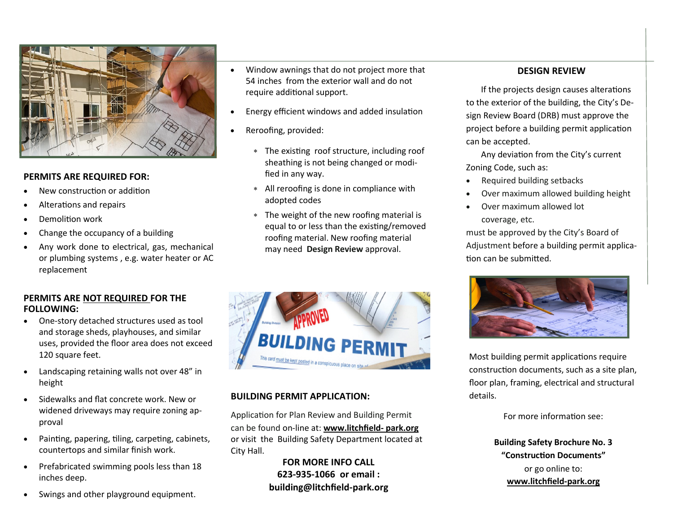

#### **PERMITS ARE REQUIRED FOR:**

- New construction or addition
- Alterations and repairs
- Demolition work
- Change the occupancy of a building
- Any work done to electrical, gas, mechanical or plumbing systems , e.g. water heater or AC replacement

#### **PERMITS ARE NOT REQUIRED FOR THE FOLLOWING:**

- One-story detached structures used as tool and storage sheds, playhouses, and similar uses, provided the floor area does not exceed 120 square feet.
- Landscaping retaining walls not over 48" in height
- Sidewalks and flat concrete work. New or widened driveways may require zoning approval
- Painting, papering, tiling, carpeting, cabinets, countertops and similar finish work.
- Prefabricated swimming pools less than 18 inches deep.
- Swings and other playground equipment.
- Window awnings that do not project more that 54 inches from the exterior wall and do not require additional support.
- Energy efficient windows and added insulation
- Reroofing, provided:
	- The existing roof structure, including roof sheathing is not being changed or modified in any way.
	- All reroofing is done in compliance with adopted codes
	- The weight of the new roofing material is equal to or less than the existing/removed roofing material. New roofing material may need **Design Review** approval.



#### **BUILDING PERMIT APPLICATION:**

Application for Plan Review and Building Permit can be found on-line at: **www.litchfield- park.org** or visit the Building Safety Department located at City Hall.

> **FOR MORE INFO CALL 623-935-1066 or email : building@litchfield-park.org**

#### **DESIGN REVIEW**

If the projects design causes alterations to the exterior of the building, the City's Design Review Board (DRB) must approve the project before a building permit application can be accepted.

 Any deviation from the City's current Zoning Code, such as:

- Required building setbacks
- Over maximum allowed building height
- Over maximum allowed lot coverage, etc.

must be approved by the City's Board of Adjustment before a building permit application can be submitted.



Most building permit applications require construction documents, such as a site plan, floor plan, framing, electrical and structural details.

For more information see:

**Building Safety Brochure No. 3 "Construction Documents"** or go online to: **www.litchfield-park.org**